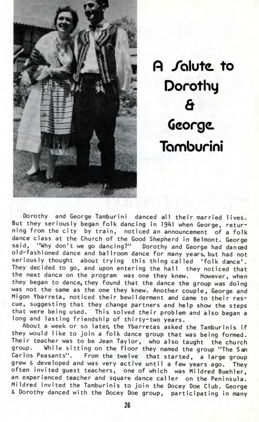

**fl /olutc. to Dorothy 6 George. Tomburini**

Dorothy and George Tamburini danced all their married lives. But they seriously began folk dancing in 1941 when George, returning from the city by train, noticed an announcement of a folk dance class at the Church of the Good Shepherd in Belmont. George said, "Why don't we go dancing?" Dorothy and George had danced old-fashioned dance and ballroom dance for many years, but had not seriously thought about trying this thing called 'folk dance'. They decided to go, and upon entering the hall they noticed that the next dance on the program was one they knew. However, when they began to dance, they found that the dance the group was doing was not the same as the one they knew. Another couple, George and Migon Ybarreta, noticed their bewilderment and came to their rescue, suggesting that they change partners and help show the steps that were being used. This solved their problem and also began a long and lasting friendship of thirty-two years.

About a week or so later, the Ybarretas asked the Tamburinis if they would like to join a folk dance group that was being formed. Their teacher was to be Jean Taylor, who also taught the church group. While sitting on the floor they named the group "The San Carlos Peasants". From the twelve that started, a large group grew & developed and was very active until a few years ago. They often invited guest teachers, one of which was Mildred Buehler, an experienced teacher and square dance caller on the Peninsula. Mildred invited the Tamburinis to join the Docey Doe Club. George & Dorothy danced with the Docey Doe group, participating in many